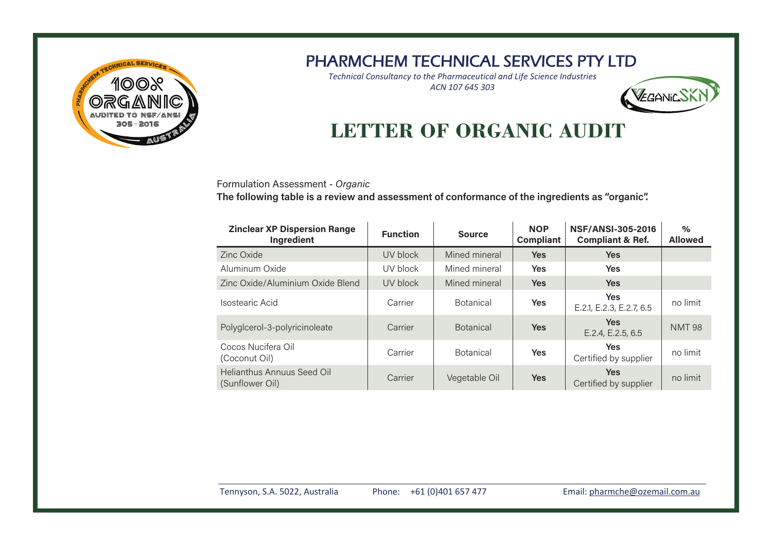

*Technical Consultancy to the Pharmaceutical and Life Science Industries ACN 107 645 303*



# **LETTER OF ORGANIC AUDIT**

Formulation Assessment - Organic

The following table is a review and assessment of conformance of the ingredients as "organic".

| <b>Zinclear XP Dispersion Range</b><br>Ingredient    | <b>Function</b> | <b>Source</b>    | <b>NOP</b><br><b>Compliant</b> | <b>NSF/ANSI-305-2016</b><br><b>Compliant &amp; Ref.</b> | $\%$<br><b>Allowed</b> |
|------------------------------------------------------|-----------------|------------------|--------------------------------|---------------------------------------------------------|------------------------|
| Zinc Oxide                                           | UV block        | Mined mineral    | <b>Yes</b>                     | <b>Yes</b>                                              |                        |
| Aluminum Oxide                                       | UV block        | Mined mineral    | Yes                            | <b>Yes</b>                                              |                        |
| Zinc Oxide/Aluminium Oxide Blend                     | UV block        | Mined mineral    | <b>Yes</b>                     | <b>Yes</b>                                              |                        |
| Isostearic Acid                                      | Carrier         | <b>Botanical</b> | <b>Yes</b>                     | <b>Yes</b><br>E.2.1, E.2.3, E.2.7, 6.5                  | no limit               |
| Polyglcerol-3-polyricinoleate                        | Carrier         | <b>Botanical</b> | <b>Yes</b>                     | <b>Yes</b><br>E.2.4, E.2.5, 6.5                         | <b>NMT 98</b>          |
| Cocos Nucifera Oil<br>(Coconut Oil)                  | Carrier         | <b>Botanical</b> | Yes                            | <b>Yes</b><br>Certified by supplier                     | no limit               |
| <b>Helianthus Annuus Seed Oil</b><br>(Sunflower Oil) | Carrier         | Vegetable Oil    | <b>Yes</b>                     | <b>Yes</b><br>Certified by supplier                     | no limit               |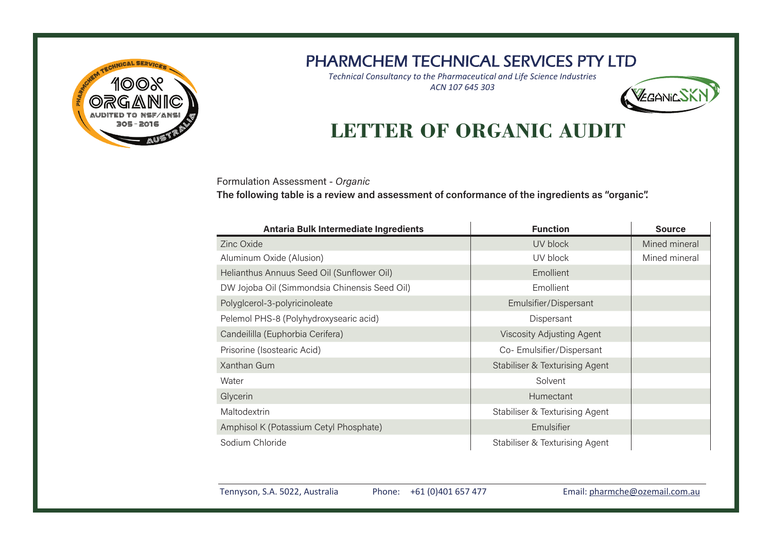

*Technical Consultancy to the Pharmaceutical and Life Science Industries ACN 107 645 303*



# **LETTER OF ORGANIC AUDIT**

Formulation Assessment - Organic

The following table is a review and assessment of conformance of the ingredients as "organic".

| <b>Antaria Bulk Intermediate Ingredients</b>  | <b>Function</b>                | <b>Source</b> |
|-----------------------------------------------|--------------------------------|---------------|
| Zinc Oxide                                    | UV block                       | Mined mineral |
| Aluminum Oxide (Alusion)                      | UV block                       | Mined mineral |
| Helianthus Annuus Seed Oil (Sunflower Oil)    | Emollient                      |               |
| DW Jojoba Oil (Simmondsia Chinensis Seed Oil) | Emollient                      |               |
| Polyglcerol-3-polyricinoleate                 | Emulsifier/Dispersant          |               |
| Pelemol PHS-8 (Polyhydroxysearic acid)        | Dispersant                     |               |
| Candeililla (Euphorbia Cerifera)              | Viscosity Adjusting Agent      |               |
| Prisorine (Isostearic Acid)                   | Co-Emulsifier/Dispersant       |               |
| Xanthan Gum                                   | Stabiliser & Texturising Agent |               |
| Water                                         | Solvent                        |               |
| Glycerin                                      | <b>Humectant</b>               |               |
| Maltodextrin                                  | Stabiliser & Texturising Agent |               |
| Amphisol K (Potassium Cetyl Phosphate)        | Emulsifier                     |               |
| Sodium Chloride                               | Stabiliser & Texturising Agent |               |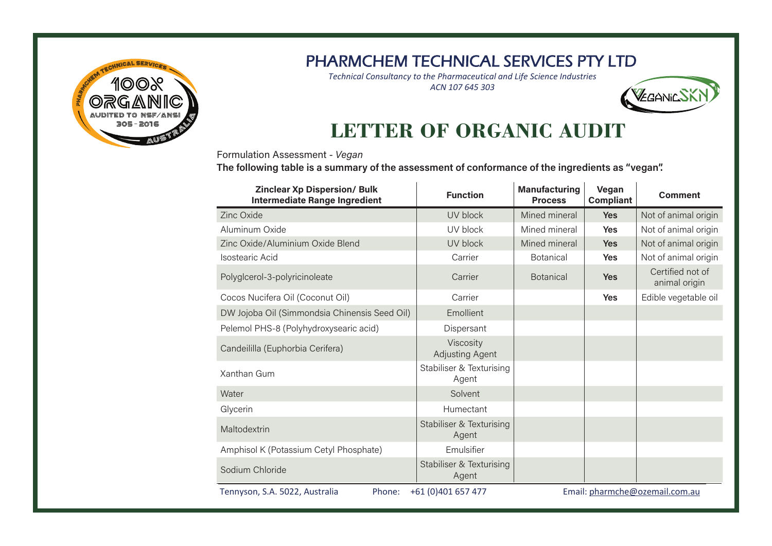

*Technical Consultancy to the Pharmaceutical and Life Science Industries ACN 107 645 303*



# **LETTER OF ORGANIC AUDIT**

 $\mathcal{L}$ 

Formulation Assessment - Vegan

The following table is a summary of the assessment of conformance of the ingredients as "vegan".

| <b>Zinclear Xp Dispersion/ Bulk</b><br><b>Intermediate Range Ingredient</b>                      | <b>Function</b>                     | <b>Manufacturing</b><br><b>Process</b> | Vegan<br><b>Compliant</b> | <b>Comment</b>                    |
|--------------------------------------------------------------------------------------------------|-------------------------------------|----------------------------------------|---------------------------|-----------------------------------|
| Zinc Oxide                                                                                       | UV block                            | Mined mineral                          | <b>Yes</b>                | Not of animal origin              |
| Aluminum Oxide                                                                                   | UV block                            | Mined mineral                          | Yes                       | Not of animal origin              |
| Zinc Oxide/Aluminium Oxide Blend                                                                 | UV block                            | Mined mineral                          | <b>Yes</b>                | Not of animal origin              |
| Isostearic Acid                                                                                  | Carrier                             | <b>Botanical</b>                       | Yes                       | Not of animal origin              |
| Polyglcerol-3-polyricinoleate                                                                    | Carrier                             | <b>Botanical</b>                       | <b>Yes</b>                | Certified not of<br>animal origin |
| Cocos Nucifera Oil (Coconut Oil)                                                                 | Carrier                             |                                        | Yes                       | Edible vegetable oil              |
| DW Jojoba Oil (Simmondsia Chinensis Seed Oil)                                                    | Emollient                           |                                        |                           |                                   |
| Pelemol PHS-8 (Polyhydroxysearic acid)                                                           | Dispersant                          |                                        |                           |                                   |
| Candeililla (Euphorbia Cerifera)                                                                 | Viscosity<br><b>Adjusting Agent</b> |                                        |                           |                                   |
| Xanthan Gum                                                                                      | Stabiliser & Texturising<br>Agent   |                                        |                           |                                   |
| Water                                                                                            | Solvent                             |                                        |                           |                                   |
| Glycerin                                                                                         | Humectant                           |                                        |                           |                                   |
| Maltodextrin                                                                                     | Stabiliser & Texturising<br>Agent   |                                        |                           |                                   |
| Amphisol K (Potassium Cetyl Phosphate)                                                           | Emulsifier                          |                                        |                           |                                   |
| Sodium Chloride                                                                                  | Stabiliser & Texturising<br>Agent   |                                        |                           |                                   |
| +61 (0)401 657 477<br>Email: pharmche@ozemail.com.au<br>Tennyson, S.A. 5022, Australia<br>Phone: |                                     |                                        |                           |                                   |